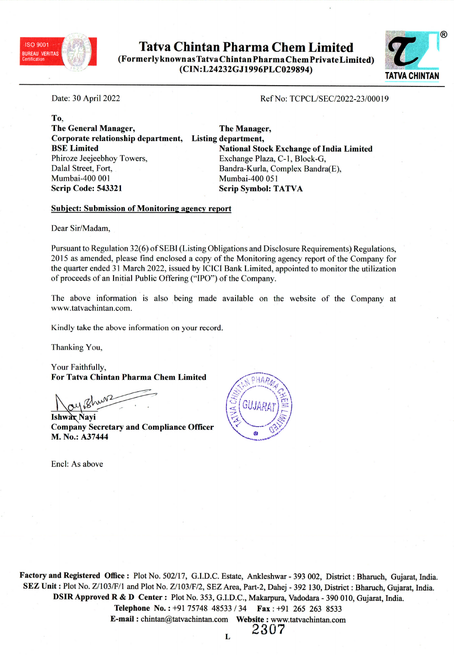

Tatva Chintan Pharma Chem Limited (Formerly known as Tatva Chin tan Pharma Chem Private Limited) (CIN:L24232GJ1996PLC029894) TATVA CHINTAN



Date: <sup>30</sup> April <sup>2022</sup>

Ref No: TCPCL/SEC/2022-23/00019

To, The General Manager, Corporate relationship department, Listing department, BSE Limited Phiroze Jeejeebhoy Towers, Dalal Street, Fort, Mumbai-400 001 Scrip Code: <sup>543321</sup>

The Manager, National Stock Exchange of India Limited Exchange Plaza, C-1, Block-G, Bandra-Kurla, Complex Bandra(E), Mumbai-400 051 Scrip Symbol: TATVA

## Subject: Submission of Monitoring agency repor<sup>t</sup>

Dear Sir/Madam,

Pursuant to Regulation 32(6) of SEBI (Listing Obligations and Disclosure Requirements) Regulations, <sup>2015</sup> as amended, <sup>p</sup>lease find enclosed <sup>a</sup> copy of the Monitoring agency repor<sup>t</sup> of the Company for the quarter ended <sup>31</sup> March 2022, issued by ICICI Bank Limited, appointed to monitor the utilization of proceeds of an Initial Public Offering ("IPO") of the Company.

The above information is also being made available on the website of the Company at www.tatvachintan.com.

Kindly take the above information on your record.

Thanking You,

Your Faithfully, For Tatva Chintan Pharma Chem Limited

hun2

**Ishwar Navi** Company Secretary and Compliance Officer M. No.: A37444

Encl: As above



Factory and Registered Office: Plot No. 502/17, G.I.D.C. Estate, Ankleshwar - <sup>393</sup> 002, District: Bharuch, Gujarat, India. SEZ Unit : Plot No. Z/103/F/1 and Plot No. Z/103/F/2, SEZ Area, Part-2, Dahej - <sup>392</sup> 130, District : Bharuch, Gujarat, India. DSIR Approved <sup>R</sup> & <sup>D</sup> Center : Plot No. 353, G.I.D.C., Makarpura, Vadodara - <sup>390</sup> 010, Gujarat, India. Telephone No.: +91 75748 48533 / 34 Fax: +91 265 263 8533 E-mail : chintan@tatvachintan.com Website : www.tatvachintan.com 2307

 $\mathbf{L}$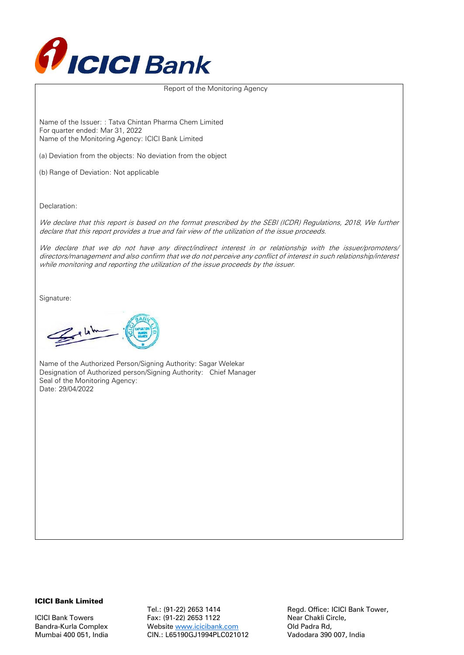

#### Report of the Monitoring Agency

Name of the Issuer: : Tatva Chintan Pharma Chem Limited For quarter ended: Mar 31, 2022 Name of the Monitoring Agency: ICICI Bank Limited

(a) Deviation from the objects: No deviation from the object

(b) Range of Deviation: Not applicable

Declaration:

We declare that this report is based on the format prescribed by the SEBI (ICDR) Regulations, 2018, We further declare that this report provides a true and fair view of the utilization of the issue proceeds.

We declare that we do not have any direct/indirect interest in or relationship with the issuer/promoters/ directors/management and also confirm that we do not perceive any conflict of interest in such relationship/interest while monitoring and reporting the utilization of the issue proceeds by the issuer.

Signature:

 $Z$ <sup>k</sup>

Name of the Authorized Person/Signing Authority: Sagar Welekar Designation of Authorized person/Signing Authority: Chief Manager Seal of the Monitoring Agency: Date: 29/04/2022

#### ICICI Bank Limited

Tel.: (91-22) 2653 1414 Regd. Office: ICICI Bank Tower, ICICI Bank Towers Fax: (91-22) 2653 1122 Near Chakli Circle, Bandra-Kurla Complex Website [www.icicibank.com](http://www.icicibank.com/) Old Padra Rd, Mumbai 400 051, India CIN.: L65190GJ1994PLC021012 Vadodara 390 007, India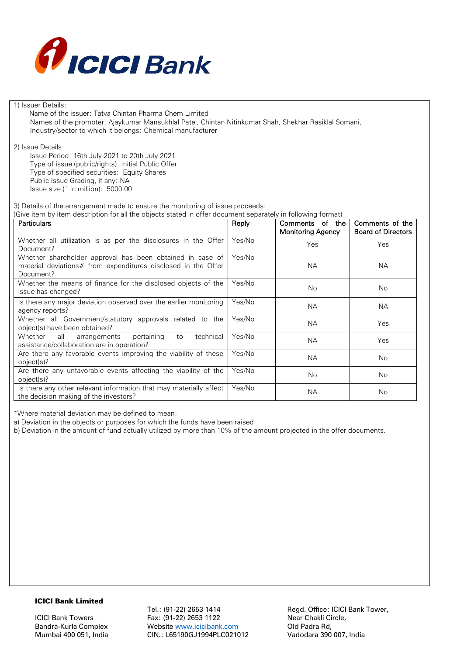

1) Issuer Details:

 Name of the issuer: Tatva Chintan Pharma Chem Limited Names of the promoter: Ajaykumar Mansukhlal Patel, Chintan Nitinkumar Shah, Shekhar Rasiklal Somani, Industry/sector to which it belongs: Chemical manufacturer

2) Issue Details:

Issue Period: 16th July 2021 to 20th July 2021 Type of issue (public/rights): Initial Public Offer Type of specified securities: Equity Shares Public Issue Grading, if any: NA Issue size (` in million): 5000.00

3) Details of the arrangement made to ensure the monitoring of issue proceeds:

(Give item by item description for all the objects stated in offer document separately in following format)

| Particulars                                                                                                                             | Reply  | Comments of the<br>Monitoring Agency | Comments of the<br><b>Board of Directors</b> |
|-----------------------------------------------------------------------------------------------------------------------------------------|--------|--------------------------------------|----------------------------------------------|
| Whether all utilization is as per the disclosures in the Offer<br>Document?                                                             | Yes/No | Yes                                  | Yes                                          |
| Whether shareholder approval has been obtained in case of<br>material deviations# from expenditures disclosed in the Offer<br>Document? | Yes/No | NА                                   | <b>NA</b>                                    |
| Whether the means of finance for the disclosed objects of the<br>issue has changed?                                                     | Yes/No | <b>No</b>                            | <b>No</b>                                    |
| Is there any major deviation observed over the earlier monitoring<br>agency reports?                                                    | Yes/No | <b>NA</b>                            | <b>NA</b>                                    |
| Whether all Government/statutory approvals related to the<br>object(s) have been obtained?                                              | Yes/No | <b>NA</b>                            | Yes                                          |
| pertaining<br>technical<br>Whether all<br>arrangements<br>to<br>assistance/collaboration are in operation?                              | Yes/No | <b>NA</b>                            | Yes                                          |
| Are there any favorable events improving the viability of these<br>object(s)?                                                           | Yes/No | <b>NA</b>                            | <b>No</b>                                    |
| Are there any unfavorable events affecting the viability of the<br>object(s)?                                                           | Yes/No | <b>No</b>                            | <b>No</b>                                    |
| Is there any other relevant information that may materially affect<br>the decision making of the investors?                             | Yes/No | <b>NA</b>                            | <b>No</b>                                    |

\*Where material deviation may be defined to mean:

a) Deviation in the objects or purposes for which the funds have been raised

b) Deviation in the amount of fund actually utilized by more than 10% of the amount projected in the offer documents.

### ICICI Bank Limited

Tel.: (91-22) 2653 1414 Regd. Office: ICICI Bank Tower, ICICI Bank Towers Fax: (91-22) 2653 1122 Near Chakli Circle, Bandra-Kurla Complex Website [www.icicibank.com](http://www.icicibank.com/) Old Padra Rd, Mumbai 400 051, India CIN.: L65190GJ1994PLC021012 Vadodara 390 007, India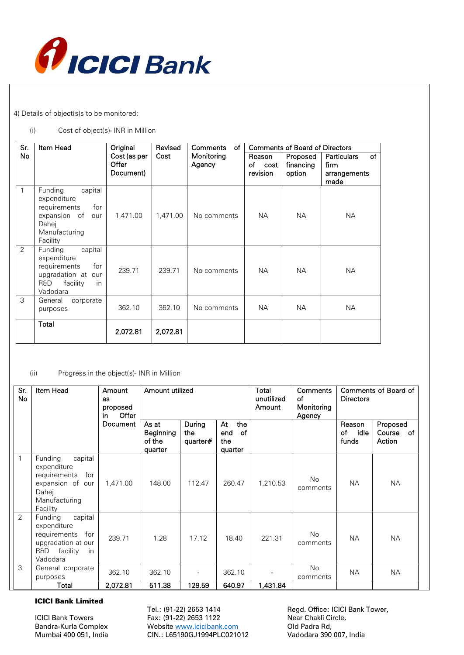

4) Details of object(s)s to be monitored:

### (i) Cost of object(s)- INR in Million

| Sr.            | Item Head                                                                                                                  | Original                           | Revised  | of<br>Comments       | <b>Comments of Board of Directors</b> |                                 |                                                                 |
|----------------|----------------------------------------------------------------------------------------------------------------------------|------------------------------------|----------|----------------------|---------------------------------------|---------------------------------|-----------------------------------------------------------------|
| No             |                                                                                                                            | Cost (as per<br>Offer<br>Document) | Cost     | Monitoring<br>Agency | Reason<br>of<br>cost<br>revision      | Proposed<br>financing<br>option | <b>Particulars</b><br><b>of</b><br>firm<br>arrangements<br>made |
| 1              | Funding<br>capital<br>expenditure<br>requirements<br>for<br>expansion of<br>our<br>Dahej<br>Manufacturing<br>Facility      | 1.471.00                           | 1,471.00 | No comments          | <b>NA</b>                             | <b>NA</b>                       | <b>NA</b>                                                       |
| $\overline{2}$ | capital<br>Funding<br>expenditure<br>requirements<br>for<br>upgradation at our<br>R&D<br>facility<br><i>in</i><br>Vadodara | 239.71                             | 239.71   | No comments          | <b>NA</b>                             | <b>NA</b>                       | <b>NA</b>                                                       |
| 3              | General<br>corporate<br>purposes                                                                                           | 362.10                             | 362.10   | No comments          | <b>NA</b>                             | NA.                             | <b>NA</b>                                                       |
|                | Total                                                                                                                      | 2,072.81                           | 2,072.81 |                      |                                       |                                 |                                                                 |

### (ii) Progress in the object(s)- INR in Million

| Sr.<br>No    | Item Head                                                                                                            | Amount<br><b>as</b><br>proposed<br>Offer<br>in. | Amount utilized                                |                           | Total<br>unutilized<br>Amount             | Comments<br>of<br>Monitoring<br>Agency | Comments of Board of<br><b>Directors</b> |                               |                                 |
|--------------|----------------------------------------------------------------------------------------------------------------------|-------------------------------------------------|------------------------------------------------|---------------------------|-------------------------------------------|----------------------------------------|------------------------------------------|-------------------------------|---------------------------------|
|              |                                                                                                                      | Document                                        | As at<br><b>Beginning</b><br>of the<br>quarter | During<br>the<br>quarter# | the<br>At<br>end<br>of<br>the.<br>quarter |                                        |                                          | Reason<br>idle<br>οf<br>funds | Proposed<br>Course of<br>Action |
| $\mathbf{1}$ | Funding<br>capital<br>expenditure<br>requirements<br>for<br>expansion of our<br>Dahej<br>Manufacturing<br>Facility   | 1.471.00                                        | 148.00                                         | 112.47                    | 260.47                                    | 1,210.53                               | <b>No</b><br>comments                    | <b>NA</b>                     | <b>NA</b>                       |
| 2            | capital<br>Funding<br>expenditure<br>requirements<br>for<br>upgradation at our<br>facility<br>R&D<br>-in<br>Vadodara | 239.71                                          | 1.28                                           | 17.12                     | 18.40                                     | 221.31                                 | <b>No</b><br>comments                    | <b>NA</b>                     | <b>NA</b>                       |
| 3            | General corporate<br>purposes                                                                                        | 362.10                                          | 362.10                                         |                           | 362.10                                    |                                        | <b>No</b><br>comments                    | <b>NA</b>                     | <b>NA</b>                       |
|              | Total                                                                                                                | 2,072.81                                        | 511.38                                         | 129.59                    | 640.97                                    | 1,431.84                               |                                          |                               |                                 |

### ICICI Bank Limited

ICICI Bank Towers Fax: (91-22) 2653 1122 Mear Chakli Circle,<br>Bandra-Kurla Complex Website www.icicibank.com Old Padra Rd, Website [www.icicibank.com](http://www.icicibank.com/) Mumbai 400 051, India CIN.: L65190GJ1994PLC021012 Vadodara 390 007, India

Tel.: (91-22) 2653 1414 Regd. Office: ICICI Bank Tower,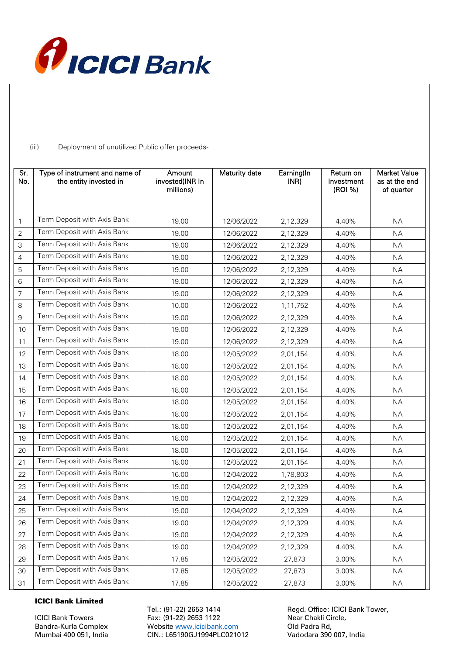

(iii) Deployment of unutilized Public offer proceeds-

| Sr.<br>No.     | Type of instrument and name of<br>the entity invested in | Amount<br>invested(INR In<br>millions) | Maturity date | Earning(In<br>INR) | Return on<br>Investment<br>(ROI %) | <b>Market Value</b><br>as at the end<br>of quarter |
|----------------|----------------------------------------------------------|----------------------------------------|---------------|--------------------|------------------------------------|----------------------------------------------------|
| $\mathbf{1}$   | Term Deposit with Axis Bank                              | 19.00                                  | 12/06/2022    | 2,12,329           | 4.40%                              | <b>NA</b>                                          |
| $\overline{2}$ | Term Deposit with Axis Bank                              | 19.00                                  | 12/06/2022    | 2,12,329           | 4.40%                              | <b>NA</b>                                          |
| 3              | Term Deposit with Axis Bank                              | 19.00                                  | 12/06/2022    | 2,12,329           | 4.40%                              | NA.                                                |
| $\overline{4}$ | Term Deposit with Axis Bank                              | 19.00                                  | 12/06/2022    | 2,12,329           | 4.40%                              | <b>NA</b>                                          |
| 5              | Term Deposit with Axis Bank                              | 19.00                                  | 12/06/2022    | 2,12,329           | 4.40%                              | <b>NA</b>                                          |
| 6              | Term Deposit with Axis Bank                              | 19.00                                  | 12/06/2022    | 2,12,329           | 4.40%                              | <b>NA</b>                                          |
| $\overline{7}$ | Term Deposit with Axis Bank                              | 19.00                                  | 12/06/2022    | 2,12,329           | 4.40%                              | <b>NA</b>                                          |
| 8              | Term Deposit with Axis Bank                              | 10.00                                  | 12/06/2022    | 1,11,752           | 4.40%                              | <b>NA</b>                                          |
| 9              | Term Deposit with Axis Bank                              | 19.00                                  | 12/06/2022    | 2,12,329           | 4.40%                              | <b>NA</b>                                          |
| 10             | Term Deposit with Axis Bank                              | 19.00                                  | 12/06/2022    | 2,12,329           | 4.40%                              | <b>NA</b>                                          |
| 11             | Term Deposit with Axis Bank                              | 19.00                                  | 12/06/2022    | 2,12,329           | 4.40%                              | <b>NA</b>                                          |
| 12             | Term Deposit with Axis Bank                              | 18.00                                  | 12/05/2022    | 2,01,154           | 4.40%                              | <b>NA</b>                                          |
| 13             | Term Deposit with Axis Bank                              | 18.00                                  | 12/05/2022    | 2,01,154           | 4.40%                              | <b>NA</b>                                          |
| 14             | Term Deposit with Axis Bank                              | 18.00                                  | 12/05/2022    | 2,01,154           | 4.40%                              | <b>NA</b>                                          |
| 15             | Term Deposit with Axis Bank                              | 18.00                                  | 12/05/2022    | 2,01,154           | 4.40%                              | <b>NA</b>                                          |
| 16             | Term Deposit with Axis Bank                              | 18.00                                  | 12/05/2022    | 2,01,154           | 4.40%                              | <b>NA</b>                                          |
| 17             | Term Deposit with Axis Bank                              | 18.00                                  | 12/05/2022    | 2,01,154           | 4.40%                              | <b>NA</b>                                          |
| 18             | Term Deposit with Axis Bank                              | 18.00                                  | 12/05/2022    | 2,01,154           | 4.40%                              | <b>NA</b>                                          |
| 19             | Term Deposit with Axis Bank                              | 18.00                                  | 12/05/2022    | 2,01,154           | 4.40%                              | <b>NA</b>                                          |
| 20             | Term Deposit with Axis Bank                              | 18.00                                  | 12/05/2022    | 2,01,154           | 4.40%                              | <b>NA</b>                                          |
| 21             | Term Deposit with Axis Bank                              | 18.00                                  | 12/05/2022    | 2,01,154           | 4.40%                              | <b>NA</b>                                          |
| 22             | Term Deposit with Axis Bank                              | 16.00                                  | 12/04/2022    | 1,78,803           | 4.40%                              | <b>NA</b>                                          |
| 23             | Term Deposit with Axis Bank                              | 19.00                                  | 12/04/2022    | 2,12,329           | 4.40%                              | <b>NA</b>                                          |
| 24             | Term Deposit with Axis Bank                              | 19.00                                  | 12/04/2022    | 2,12,329           | 4.40%                              | <b>NA</b>                                          |
| 25             | Term Deposit with Axis Bank                              | 19.00                                  | 12/04/2022    | 2,12,329           | 4.40%                              | NА                                                 |
| 26             | Term Deposit with Axis Bank                              | 19.00                                  | 12/04/2022    | 2,12,329           | 4.40%                              | <b>NA</b>                                          |
| 27             | Term Deposit with Axis Bank                              | 19.00                                  | 12/04/2022    | 2,12,329           | 4.40%                              | <b>NA</b>                                          |
| 28             | Term Deposit with Axis Bank                              | 19.00                                  | 12/04/2022    | 2,12,329           | 4.40%                              | <b>NA</b>                                          |
| 29             | Term Deposit with Axis Bank                              | 17.85                                  | 12/05/2022    | 27,873             | 3.00%                              | <b>NA</b>                                          |
| 30             | Term Deposit with Axis Bank                              | 17.85                                  | 12/05/2022    | 27,873             | 3.00%                              | ΝA                                                 |
| 31             | Term Deposit with Axis Bank                              | 17.85                                  | 12/05/2022    | 27,873             | 3.00%                              | <b>NA</b>                                          |

## ICICI Bank Limited

ICICI Bank Towers Fax: (91-22) 2653 1122 Mear Chakli Circle,<br>Bandra-Kurla Complex Website www.icicibank.com Old Padra Rd, Website [www.icicibank.com](http://www.icicibank.com/) Mumbai 400 051, India CIN.: L65190GJ1994PLC021012 Vadodara 390 007, India

Tel.: (91-22) 2653 1414 Regd. Office: ICICI Bank Tower,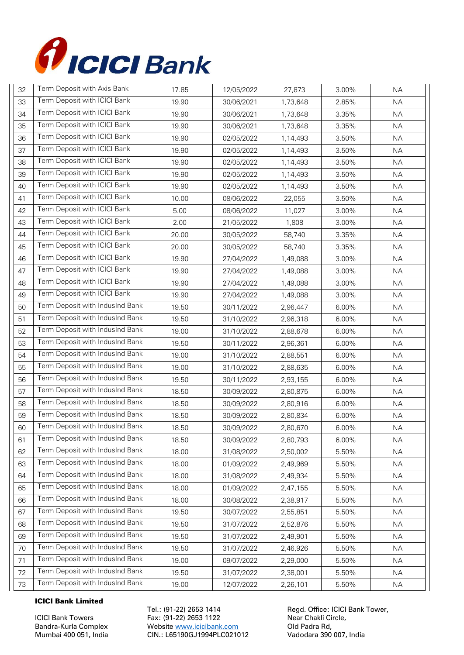

| 32 | Term Deposit with Axis Bank     | 17.85 | 12/05/2022 | 27,873   | 3.00% | <b>NA</b> |
|----|---------------------------------|-------|------------|----------|-------|-----------|
| 33 | Term Deposit with ICICI Bank    | 19.90 | 30/06/2021 | 1,73,648 | 2.85% | <b>NA</b> |
| 34 | Term Deposit with ICICI Bank    | 19.90 | 30/06/2021 | 1,73,648 | 3.35% | <b>NA</b> |
| 35 | Term Deposit with ICICI Bank    | 19.90 | 30/06/2021 | 1,73,648 | 3.35% | <b>NA</b> |
| 36 | Term Deposit with ICICI Bank    | 19.90 | 02/05/2022 | 1,14,493 | 3.50% | <b>NA</b> |
| 37 | Term Deposit with ICICI Bank    | 19.90 | 02/05/2022 | 1,14,493 | 3.50% | <b>NA</b> |
| 38 | Term Deposit with ICICI Bank    | 19.90 | 02/05/2022 | 1,14,493 | 3.50% | <b>NA</b> |
| 39 | Term Deposit with ICICI Bank    | 19.90 | 02/05/2022 | 1,14,493 | 3.50% | <b>NA</b> |
| 40 | Term Deposit with ICICI Bank    | 19.90 | 02/05/2022 | 1,14,493 | 3.50% | <b>NA</b> |
| 41 | Term Deposit with ICICI Bank    | 10.00 | 08/06/2022 | 22,055   | 3.50% | <b>NA</b> |
| 42 | Term Deposit with ICICI Bank    | 5.00  | 08/06/2022 | 11,027   | 3.00% | <b>NA</b> |
| 43 | Term Deposit with ICICI Bank    | 2.00  | 21/05/2022 | 1,808    | 3.00% | <b>NA</b> |
| 44 | Term Deposit with ICICI Bank    | 20.00 | 30/05/2022 | 58,740   | 3.35% | <b>NA</b> |
| 45 | Term Deposit with ICICI Bank    | 20.00 | 30/05/2022 | 58,740   | 3.35% | <b>NA</b> |
| 46 | Term Deposit with ICICI Bank    | 19.90 | 27/04/2022 | 1,49,088 | 3.00% | <b>NA</b> |
| 47 | Term Deposit with ICICI Bank    | 19.90 | 27/04/2022 | 1,49,088 | 3.00% | <b>NA</b> |
| 48 | Term Deposit with ICICI Bank    | 19.90 | 27/04/2022 | 1,49,088 | 3.00% | <b>NA</b> |
| 49 | Term Deposit with ICICI Bank    | 19.90 | 27/04/2022 | 1,49,088 | 3.00% | <b>NA</b> |
| 50 | Term Deposit with IndusInd Bank | 19.50 | 30/11/2022 | 2,96,447 | 6.00% | <b>NA</b> |
| 51 | Term Deposit with IndusInd Bank | 19.50 | 31/10/2022 | 2,96,318 | 6.00% | <b>NA</b> |
| 52 | Term Deposit with IndusInd Bank | 19.00 | 31/10/2022 | 2,88,678 | 6.00% | <b>NA</b> |
| 53 | Term Deposit with IndusInd Bank | 19.50 | 30/11/2022 | 2,96,361 | 6.00% | <b>NA</b> |
| 54 | Term Deposit with IndusInd Bank | 19.00 | 31/10/2022 | 2,88,551 | 6.00% | <b>NA</b> |
| 55 | Term Deposit with IndusInd Bank | 19.00 | 31/10/2022 | 2,88,635 | 6.00% | <b>NA</b> |
| 56 | Term Deposit with IndusInd Bank | 19.50 | 30/11/2022 | 2,93,155 | 6.00% | <b>NA</b> |
| 57 | Term Deposit with IndusInd Bank | 18.50 | 30/09/2022 | 2,80,875 | 6.00% | <b>NA</b> |
| 58 | Term Deposit with IndusInd Bank | 18.50 | 30/09/2022 | 2,80,916 | 6.00% | <b>NA</b> |
| 59 | Term Deposit with IndusInd Bank | 18.50 | 30/09/2022 | 2,80,834 | 6.00% | ΝA        |
| 60 | Term Deposit with IndusInd Bank | 18.50 | 30/09/2022 | 2,80,670 | 6.00% | <b>NA</b> |
| 61 | Term Deposit with IndusInd Bank | 18.50 | 30/09/2022 | 2,80,793 | 6.00% | ΝA        |
| 62 | Term Deposit with IndusInd Bank | 18.00 | 31/08/2022 | 2,50,002 | 5.50% | <b>NA</b> |
| 63 | Term Deposit with IndusInd Bank | 18.00 | 01/09/2022 | 2,49,969 | 5.50% | <b>NA</b> |
| 64 | Term Deposit with IndusInd Bank | 18.00 | 31/08/2022 | 2,49,934 | 5.50% | <b>NA</b> |
| 65 | Term Deposit with IndusInd Bank | 18.00 | 01/09/2022 | 2,47,155 | 5.50% | <b>NA</b> |
| 66 | Term Deposit with IndusInd Bank | 18.00 | 30/08/2022 | 2,38,917 | 5.50% | ΝA        |
| 67 | Term Deposit with IndusInd Bank | 19.50 | 30/07/2022 | 2,55,851 | 5.50% | <b>NA</b> |
| 68 | Term Deposit with IndusInd Bank | 19.50 | 31/07/2022 | 2,52,876 | 5.50% | <b>NA</b> |
| 69 | Term Deposit with IndusInd Bank | 19.50 | 31/07/2022 | 2,49,901 | 5.50% | <b>NA</b> |
| 70 | Term Deposit with IndusInd Bank | 19.50 | 31/07/2022 | 2,46,926 | 5.50% | <b>NA</b> |
| 71 | Term Deposit with IndusInd Bank | 19.00 | 09/07/2022 | 2,29,000 | 5.50% | ΝA        |
| 72 | Term Deposit with IndusInd Bank | 19.50 | 31/07/2022 | 2,38,001 | 5.50% | <b>NA</b> |
| 73 | Term Deposit with IndusInd Bank | 19.00 | 12/07/2022 | 2,26,101 | 5.50% | <b>NA</b> |

# ICICI Bank Limited

ICICI Bank Towers Fax: (91-22) 2653 1122<br>Bandra-Kurla Complex Mebsite www.icicibank.com Cld Padra Rd, Website [www.icicibank.com](http://www.icicibank.com/) Mumbai 400 051, India CIN.: L65190GJ1994PLC021012 Vadodara 390 007, India

Tel.: (91-22) 2653 1414 Regd. Office: ICICI Bank Tower,<br>
Fax: (91-22) 2653 1122 Rear Chakli Circle,